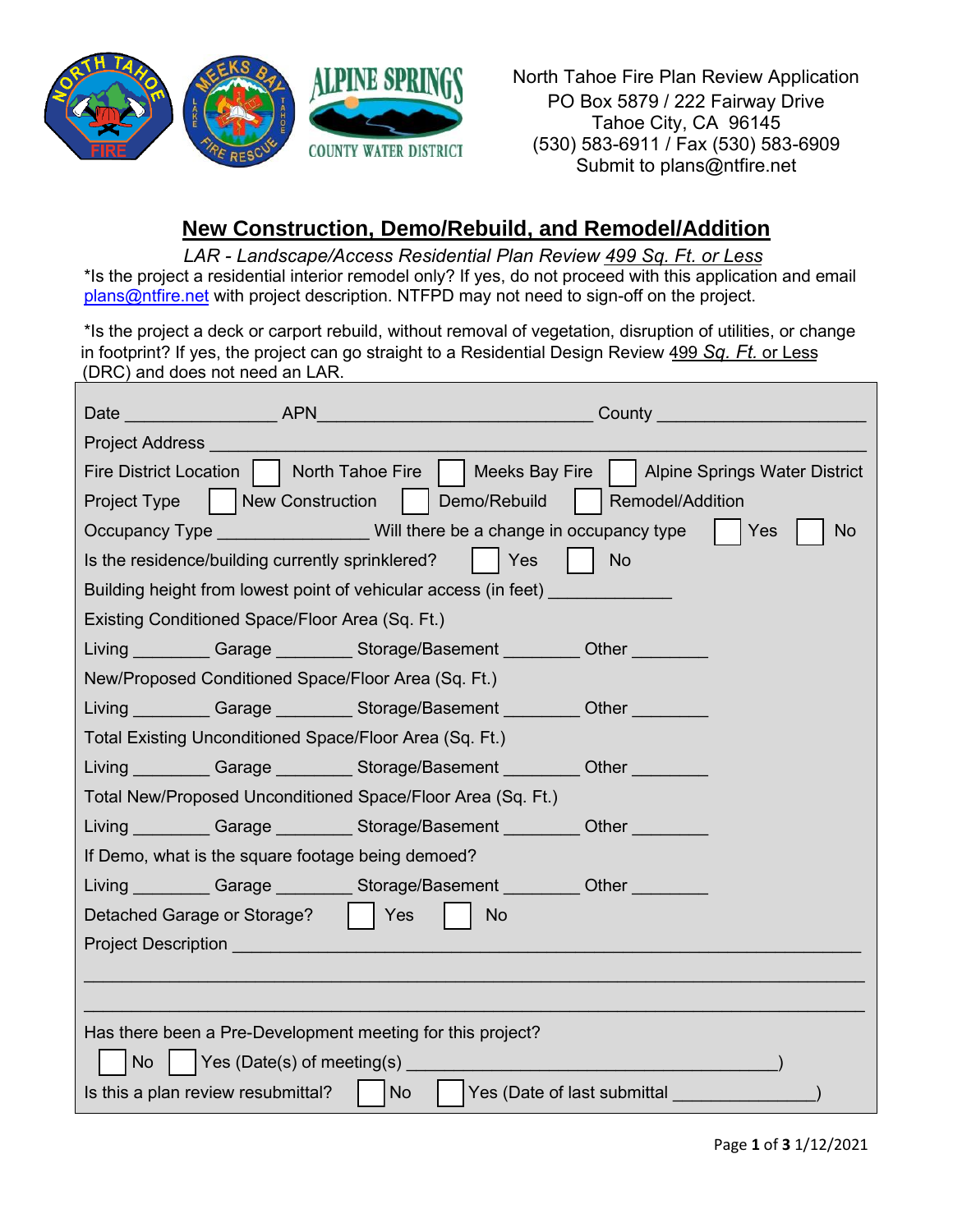

North Tahoe Fire Plan Review Application PO Box 5879 / 222 Fairway Drive Tahoe City, CA 96145 (530) 583-6911 / Fax (530) 583-6909 Submit to plans@ntfire.net

## **New Construction, Demo/Rebuild, and Remodel/Addition**

 *LAR - Landscape/Access Residential Plan Review 499 Sq. Ft. or Less* 

\*Is the project a residential interior remodel only? If yes, do not proceed with this application and email [plans@ntfire.net](mailto:plans@ntfire.net) with project description. NTFPD may not need to sign-off on the project.

\*Is the project a deck or carport rebuild, without removal of vegetation, disruption of utilities, or change in footprint? If yes, the project can go straight to a Residential Design Review 499 *Sq. Ft.* or Less (DRC) and does not need an LAR.

| Date APN                                                   |                  |                                                                                        | <b>County County County County County</b> |
|------------------------------------------------------------|------------------|----------------------------------------------------------------------------------------|-------------------------------------------|
| <b>Project Address</b>                                     |                  |                                                                                        |                                           |
| Fire District Location     North Tahoe Fire                |                  | <b>Meeks Bay Fire</b>                                                                  | <b>Alpine Springs Water District</b>      |
| Project Type                                               | New Construction | Demo/Rebuild                                                                           | Remodel/Addition                          |
|                                                            |                  | Occupancy Type Will there be a change in occupancy type                                | Yes<br><b>No</b>                          |
| Is the residence/building currently sprinklered?           |                  | $\vert$ Yes                                                                            | <b>No</b>                                 |
|                                                            |                  | Building height from lowest point of vehicular access (in feet)                        |                                           |
| Existing Conditioned Space/Floor Area (Sq. Ft.)            |                  |                                                                                        |                                           |
|                                                            |                  | Living __________ Garage _________ Storage/Basement _________ Other _________          |                                           |
| New/Proposed Conditioned Space/Floor Area (Sq. Ft.)        |                  |                                                                                        |                                           |
|                                                            |                  | Living __________ Garage _________ Storage/Basement _________ Other _________          |                                           |
| Total Existing Unconditioned Space/Floor Area (Sq. Ft.)    |                  |                                                                                        |                                           |
|                                                            |                  | Living _________ Garage _________ Storage/Basement _________ Other ________            |                                           |
|                                                            |                  | Total New/Proposed Unconditioned Space/Floor Area (Sq. Ft.)                            |                                           |
|                                                            |                  | Living Carage Storage/Basement Other                                                   |                                           |
| If Demo, what is the square footage being demoed?          |                  |                                                                                        |                                           |
|                                                            |                  | Living Carage Storage/Basement Other Cher                                              |                                           |
| Detached Garage or Storage?                                |                  | Yes<br><b>No</b>                                                                       |                                           |
|                                                            |                  | <b>Project Description And All Accounts and All Accounts and Accounts and Accounts</b> |                                           |
|                                                            |                  |                                                                                        |                                           |
|                                                            |                  |                                                                                        |                                           |
| Has there been a Pre-Development meeting for this project? |                  |                                                                                        |                                           |
| No                                                         |                  |                                                                                        |                                           |
| Is this a plan review resubmittal?                         |                  | Yes (Date of last submittal<br>  No                                                    |                                           |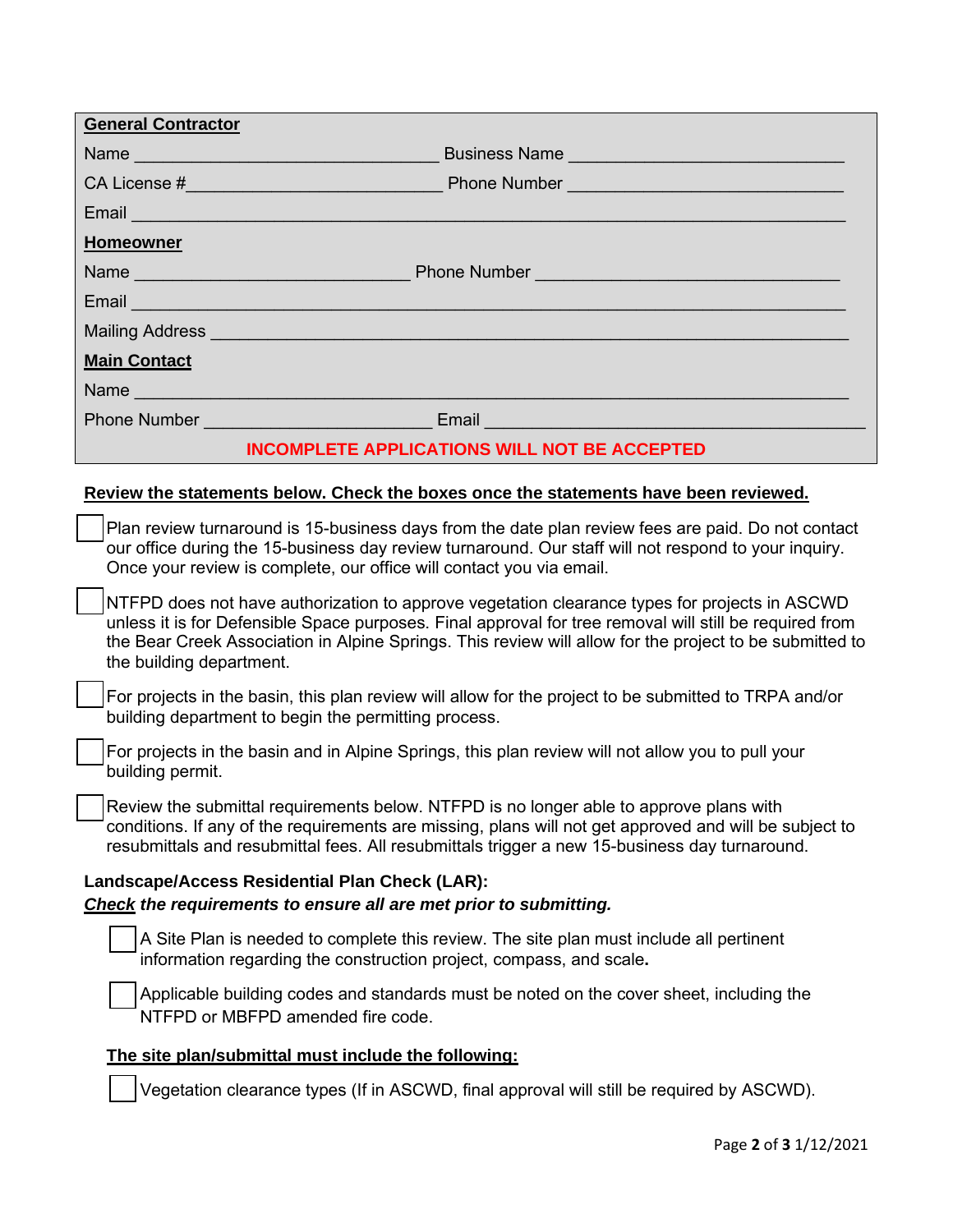| <b>General Contractor</b>                                                                                                                                                                                                                                                                                                                       |
|-------------------------------------------------------------------------------------------------------------------------------------------------------------------------------------------------------------------------------------------------------------------------------------------------------------------------------------------------|
|                                                                                                                                                                                                                                                                                                                                                 |
|                                                                                                                                                                                                                                                                                                                                                 |
|                                                                                                                                                                                                                                                                                                                                                 |
| <b>Homeowner</b>                                                                                                                                                                                                                                                                                                                                |
|                                                                                                                                                                                                                                                                                                                                                 |
| Email <b>Executive Contract Contract Contract Contract Contract Contract Contract Contract Contract Contract Contract Contract Contract Contract Contract Contract Contract Contract Contract Contract Contract Contract Contrac</b>                                                                                                            |
| Mailing Address <b>Mailing Address</b> New York Control of the Address New York Control of the Address New York Control of the Address New York Control of the Address New York Control of the Address New York Control of the Addr                                                                                                             |
| <b>Main Contact</b>                                                                                                                                                                                                                                                                                                                             |
|                                                                                                                                                                                                                                                                                                                                                 |
|                                                                                                                                                                                                                                                                                                                                                 |
| <b>INCOMPLETE APPLICATIONS WILL NOT BE ACCEPTED</b>                                                                                                                                                                                                                                                                                             |
| Review the statements below. Check the boxes once the statements have been reviewed.                                                                                                                                                                                                                                                            |
| Plan review turnaround is 15-business days from the date plan review fees are paid. Do not contact<br>our office during the 15-business day review turnaround. Our staff will not respond to your inquiry.<br>Once your review is complete, our office will contact you via email.                                                              |
| NTFPD does not have authorization to approve vegetation clearance types for projects in ASCWD<br>unless it is for Defensible Space purposes. Final approval for tree removal will still be required from<br>the Bear Creek Association in Alpine Springs. This review will allow for the project to be submitted to<br>the building department. |
| For projects in the basin, this plan review will allow for the project to be submitted to TRPA and/or<br>building department to begin the permitting process.                                                                                                                                                                                   |

For projects in the basin and in Alpine Springs, this plan review will not allow you to pull your building permit.

Review the submittal requirements below. NTFPD is no longer able to approve plans with conditions. If any of the requirements are missing, plans will not get approved and will be subject to resubmittals and resubmittal fees. All resubmittals trigger a new 15-business day turnaround.

## **Landscape/Access Residential Plan Check (LAR):** *Check the requirements to ensure all are met prior to submitting.*

A Site Plan is needed to complete this review. The site plan must include all pertinent information regarding the construction project, compass, and scale**.** 

Applicable building codes and standards must be noted on the cover sheet, including the NTFPD or MBFPD amended fire code.

## **The site plan/submittal must include the following:**

Vegetation clearance types (If in ASCWD, final approval will still be required by ASCWD).